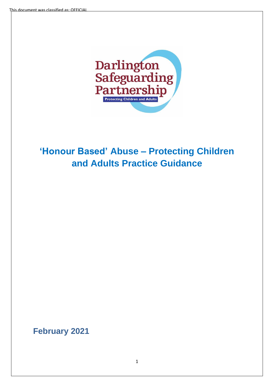

# **'Honour Based' Abuse – Protecting Children and Adults Practice Guidance**

**February 2021**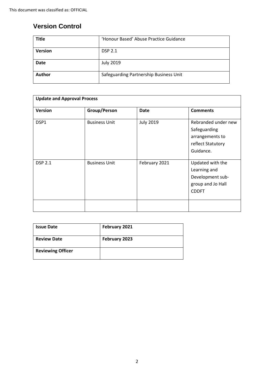## **Version Control**

| <b>Title</b>   | 'Honour Based' Abuse Practice Guidance |
|----------------|----------------------------------------|
| <b>Version</b> | <b>DSP 2.1</b>                         |
| <b>Date</b>    | <b>July 2019</b>                       |
| Author         | Safeguarding Partnership Business Unit |

| <b>Update and Approval Process</b> |                      |                  |                                                                                           |  |  |
|------------------------------------|----------------------|------------------|-------------------------------------------------------------------------------------------|--|--|
| <b>Version</b>                     | Group/Person         | <b>Date</b>      | <b>Comments</b>                                                                           |  |  |
| DSP1                               | <b>Business Unit</b> | <b>July 2019</b> | Rebranded under new<br>Safeguarding<br>arrangements to<br>reflect Statutory<br>Guidance.  |  |  |
| <b>DSP 2.1</b>                     | <b>Business Unit</b> | February 2021    | Updated with the<br>Learning and<br>Development sub-<br>group and Jo Hall<br><b>CDDFT</b> |  |  |
|                                    |                      |                  |                                                                                           |  |  |

| <b>Issue Date</b>        | February 2021 |
|--------------------------|---------------|
| <b>Review Date</b>       | February 2023 |
| <b>Reviewing Officer</b> |               |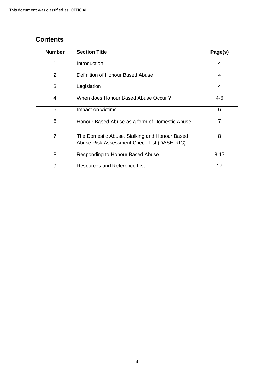# **Contents**

| <b>Number</b>  | <b>Section Title</b>                                                                         | Page(s)  |
|----------------|----------------------------------------------------------------------------------------------|----------|
| 1              | Introduction                                                                                 | 4        |
| 2              | Definition of Honour Based Abuse                                                             | 4        |
| 3              | Legislation                                                                                  | 4        |
| 4              | When does Honour Based Abuse Occur?                                                          | $4-6$    |
| 5              | Impact on Victims                                                                            | 6        |
| 6              | Honour Based Abuse as a form of Domestic Abuse                                               | 7        |
| $\overline{7}$ | The Domestic Abuse, Stalking and Honour Based<br>Abuse Risk Assessment Check List (DASH-RIC) | 8        |
| 8              | Responding to Honour Based Abuse                                                             | $8 - 17$ |
| 9              | Resources and Reference List                                                                 | 17       |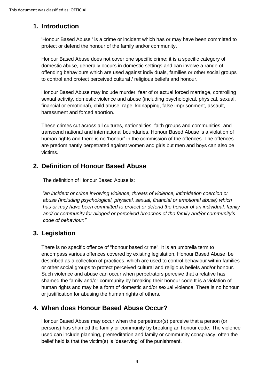## **1. Introduction**

'Honour Based Abuse ' is a crime or incident which has or may have been committed to protect or defend the honour of the family and/or community.

Honour Based Abuse does not cover one specific crime; it is a specific category of domestic abuse, generally occurs in domestic settings and can involve a range of offending behaviours which are used against individuals, families or other social groups to control and protect perceived cultural / religious beliefs and honour.

Honour Based Abuse may include murder, fear of or actual forced marriage, controlling sexual activity, domestic violence and abuse (including psychological, physical, sexual, financial or emotional), child abuse, rape, kidnapping, false imprisonment, assault, harassment and forced abortion.

These crimes cut across all cultures, nationalities, faith groups and communities and transcend national and international boundaries. Honour Based Abuse is a violation of human rights and there is no 'honour' in the commission of the offences. The offences are predominantly perpetrated against women and girls but men and boys can also be victims.

## **2. Definition of Honour Based Abuse**

The definition of Honour Based Abuse is:

 *"an incident or crime involving violence, threats of violence, intimidation coercion or abuse (including psychological, physical, sexual, financial or emotional abuse) which has or may have been committed to protect or defend the honour of an individual, family and/ or community for alleged or perceived breaches of the family and/or community's code of behaviour."*

## **3. Legislation**

There is no specific offence of "honour based crime". It is an umbrella term to encompass various offences covered by existing legislation. Honour Based Abuse be described as a collection of practices, which are used to control behaviour within families or other social groups to protect perceived cultural and religious beliefs and/or honour. Such violence and abuse can occur when perpetrators perceive that a relative has shamed the family and/or community by breaking their honour code.It is a violation of human rights and may be a form of domestic and/or sexual violence. There is no honour or justification for abusing the human rights of others.

## **4. When does Honour Based Abuse Occur?**

Honour Based Abuse may occur when the perpetrator(s) perceive that a person (or persons) has shamed the family or community by breaking an honour code. The violence used can include planning, premeditation and family or community conspiracy; often the belief held is that the victim(s) is 'deserving' of the punishment.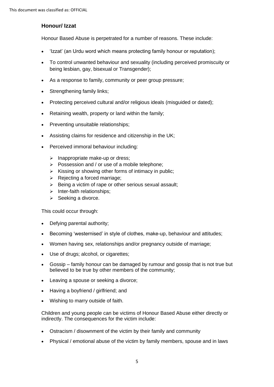#### **Honour/ Izzat**

Honour Based Abuse is perpetrated for a number of reasons. These include:

- 'Izzat' (an Urdu word which means protecting family honour or reputation);
- To control unwanted behaviour and sexuality (including perceived promiscuity or being lesbian, gay, bisexual or Transgender);
- As a response to family, community or peer group pressure;
- Strengthening family links;
- Protecting perceived cultural and/or religious ideals (misguided or dated);
- Retaining wealth, property or land within the family;
- Preventing unsuitable relationships;
- Assisting claims for residence and citizenship in the UK;
- Perceived immoral behaviour including:
	- ➢ Inappropriate make-up or dress;
	- ➢ Possession and / or use of a mobile telephone;
	- $\triangleright$  Kissing or showing other forms of intimacy in public;
	- ➢ Rejecting a forced marriage;
	- ➢ Being a victim of rape or other serious sexual assault;
	- ➢ Inter-faith relationships;
	- ➢ Seeking a divorce.

This could occur through:

- Defying parental authority;
- Becoming 'westernised' in style of clothes, make-up, behaviour and attitudes;
- Women having sex, relationships and/or pregnancy outside of marriage;
- Use of drugs; alcohol, or cigarettes;
- Gossip family honour can be damaged by rumour and gossip that is not true but believed to be true by other members of the community;
- Leaving a spouse or seeking a divorce;
- Having a bovfriend / girlfriend: and
- Wishing to marry outside of faith.

Children and young people can be victims of Honour Based Abuse either directly or indirectly. The consequences for the victim include:

- Ostracism / disownment of the victim by their family and community
- Physical / emotional abuse of the victim by family members, spouse and in laws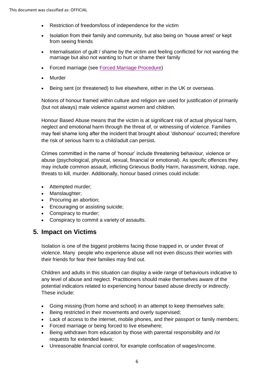- Restriction of freedom/loss of independence for the victim
- Isolation from their family and community, but also being on 'house arrest' or kept from seeing friends
- Internalisation of guilt / shame by the victim and feeling conflicted for not wanting the marriage but also not wanting to hurt or shame their family
- Forced marriage (see [Forced Marriage Procedure\)](../Forced%20Marriage%20-%20DONE/Forced%20Marriage%20February%202021%20DSP2%20V%202.2.pdf)
- Murder
- Being sent (or threatened) to live elsewhere, either in the UK or overseas.

Notions of honour framed within culture and religion are used for justification of primarily (but not always) male violence against women and children.

Honour Based Abuse means that the victim is at significant risk of actual physical harm, neglect and emotional harm through the threat of, or witnessing of violence. Families may feel shame long after the incident that brought about 'dishonour' occurred**;** therefore the risk of serious harm to a child/adult can persist**.** 

Crimes committed in the name of 'honour' include threatening behaviour, violence or abuse (psychological, physical, sexual, financial or emotional). As specific offences they may include common assault, inflicting Grievous Bodily Harm, harassment, kidnap, rape, threats to kill, murder. Additionally, honour based crimes could include:

- Attempted murder;
- Manslaughter;
- Procuring an abortion;
- Encouraging or assisting suicide;
- Conspiracy to murder;
- Conspiracy to commit a variety of assaults.

## **5. Impact on Victims**

Isolation is one of the biggest problems facing those trapped in, or under threat of violence. Many people who experience abuse will not even discuss their worries with their friends for fear their families may find out.

Children and adults in this situation can display a wide range of behaviours indicative to any level of abuse and neglect. Practitioners should make themselves aware of the potential indicators related to experiencing honour based abuse directly or indirectly. These include:

- Going missing (from home and school) in an attempt to keep themselves safe;
- Being restricted in their movements and overly supervised;
- Lack of access to the internet, mobile phones, and their passport or family members;
- Forced marriage or being forced to live elsewhere;
- Being withdrawn from education by those with [parental](http://trixresources.proceduresonline.com/nat_key/keywords/parental_respons.html) responsibility and /or requests for extended leave;
- Unreasonable financial control, for example confiscation of wages/income.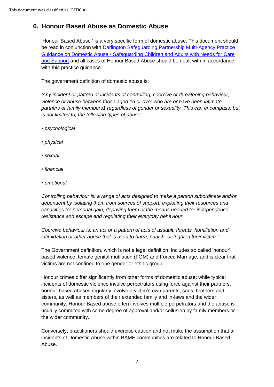# **6. Honour Based Abuse as Domestic Abuse**

'Honour Based Abuse ' is a very specific form of domestic abuse. This document should be read in conjunction with [Darlington Safeguarding Partnership Multi-Agency Practice](https://www.darlington-safeguarding-partnership.co.uk/professionals/multi-agency-practice-guidance-and-additional-information/)  Guidance on Domestic Abuse - [Safeguarding Children and Adults with Needs for Care](https://www.darlington-safeguarding-partnership.co.uk/professionals/multi-agency-practice-guidance-and-additional-information/)  [and Support](https://www.darlington-safeguarding-partnership.co.uk/professionals/multi-agency-practice-guidance-and-additional-information/) and all cases of Honour Based Abuse should be dealt with in accordance with this practice guidance.

The government definition of domestic abuse is:

*'Any incident or pattern of incidents of controlling, coercive or threatening behaviour, violence or abuse between those aged 16 or over who are or have been intimate partners or family members1 regardless of gender or sexuality. This can encompass, but is not limited to, the following types of abuse:* 

- *psychological*
- *physical*
- *sexual*
- *financial*
- *emotional*

*Controlling behaviour is: a range of acts designed to make a person subordinate and/or dependent by isolating them from sources of support, exploiting their resources and capacities for personal gain, depriving them of the means needed for independence, resistance and escape and regulating their everyday behaviour.*

*Coercive behaviour is: an act or a pattern of acts of assault, threats, humiliation and intimidation or other abuse that is used to harm, punish, or frighten their victim.'*

The Government definition, which is not a legal definition, includes so called 'honour' based violence, female genital mutilation (FGM) and Forced Marriage, and is clear that victims are not confined to one gender or ethnic group.

Honour crimes differ significantly from other forms of domestic abuse; while typical incidents of domestic violence involve perpetrators using force against their partners, honour-based abuses regularly involve a victim's own parents, sons, brothers and sisters, as well as members of their extended family and in-laws and the wider community. Honour Based abuse often involves multiple perpetrators and the abuse is usually commited with some degree of approval and/or collusion by family members or the wider community.

Conversely, practitioners should exercise caution and not make the assumption that all incidents of Domestic Abuse within BAME communities are related to Honour Based Abuse.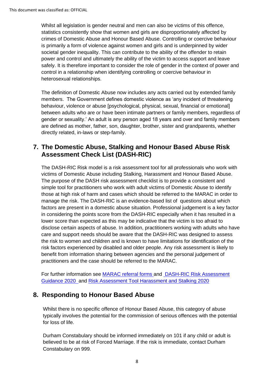Whilst all legislation is gender neutral and men can also be victims of this offence, statistics consistently show that women and girls are disproportionately affected by crimes of Domestic Abuse and Honour Based Abuse. Controlling or coercive behaviour is primarily a form of violence against women and girls and is underpinned by wider societal gender inequality. This can contribute to the ability of the offender to retain power and control and ultimately the ability of the victim to access support and leave safely. It is therefore important to consider the role of gender in the context of power and control in a relationship when identifying controlling or coercive behaviour in heterosexual relationships.

The definition of Domestic Abuse now includes any acts carried out by extended family members. The Government defines domestic violence as 'any incident of threatening behaviour, violence or abuse [psychological, physical, sexual, financial or emotional] between adults who are or have been intimate partners or family members, regardless of gender or sexuality.' An adult is any person aged 18 years and over and family members are defined as mother, father, son, daughter, brother, sister and grandparents, whether directly related, in-laws or step-family.

## **7. The Domestic Abuse, Stalking and Honour Based Abuse Risk Assessment Check List (DASH-RIC)**

The DASH-RIC Risk model is a risk assessment tool for all professionals who work with victims of Domestic Abuse including Stalking, Harassment and Honour Based Abuse. The purpose of the DASH risk assessment checklist is to provide a consistent and simple tool for practitioners who work with adult victims of Domestic Abuse to identify those at high risk of harm and cases which should be referred to the MARAC in order to manage the risk. The DASH-RIC is an evidence-based list of questions about which factors are present in a domestic abuse situation. Professional judgement is a key factor in considering the points score from the DASH-RIC especially when it has resulted in a lower score than expected as this may be indicative that the victim is too afraid to disclose certain aspects of abuse. In addition, practitioners working with adults who have care and support needs should be aware that the DASH-RIC was designed to assess the risk to women and children and is known to have limitations for identification of the risk factors experienced by disabled and older people. Any risk assessment is likely to benefit from information sharing between agencies and the personal judgement of practitioners and the case should be referred to the MARAC.

For further information see MARAC [referral forms](https://www.darlington-safeguarding-partnership.co.uk/professionals/multi-agency-practice-guidance-and-additional-information/) and [DASH-RIC Risk Assessment](https://www.darlington-safeguarding-partnership.co.uk/professionals/multi-agency-practice-guidance-and-additional-information/)  [Guidance](https://www.darlington-safeguarding-partnership.co.uk/professionals/multi-agency-practice-guidance-and-additional-information/) 2020 and [Risk Assessment Tool Harassment and Stalking 2020](https://www.darlington-safeguarding-partnership.co.uk/professionals/multi-agency-practice-guidance-and-additional-information/)

## **8. Responding to Honour Based Abuse**

Whilst there is no specific offence of Honour Based Abuse, this category of abuse typically involves the potential for the commission of serious offences with the potential for loss of life.

Durham Constabulary should be informed immediately on 101 if any child or adult is believed to be at risk of Forced Marriage. If the risk is immediate, contact Durham Constabulary on 999.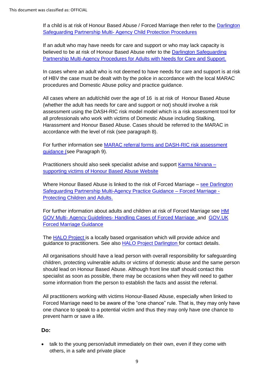If a child is at risk of Honour Based Abuse / Forced Marriage then refer to the [Darlington](https://www.darlington-safeguarding-partnership.co.uk/professionals/multi-agency-safeguarding-child-protection-procedures/)  Safeguarding Partnership Multi- [Agency Child Protection Procedures](https://www.darlington-safeguarding-partnership.co.uk/professionals/multi-agency-safeguarding-child-protection-procedures/)

If an adult who may have needs for care and support or who may lack capacity is believed to be at risk of Honour Based Abuse refer to the **Darlington Safeguarding** [Partnership Multi-Agency Procedures for Adults with Needs for Care and Support.](https://www.darlington-safeguarding-partnership.co.uk/professionals/multi-agency-safeguarding-adult-procedures/)

In cases where an adult who is not deemed to have needs for care and support is at risk of HBV the case must be dealt with by the police in accordance with the local MARAC procedures and Domestic Abuse policy and practice guidance.

All cases where an adult/child over the age of 16 is at risk of Honour Based Abuse (whether the adult has needs for care and support or not) should involve a risk assessment using the DASH-RIC risk model model which is a risk assessment tool for all professionals who work with victims of Domestic Abuse including Stalking, Harassment and Honour Based Abuse. Cases should be referred to the MARAC in accordance with the level of risk (see paragraph 8).

For further information see MARAC [referral forms and DASH-RIC risk assessment](https://www.darlington-safeguarding-partnership.co.uk/professionals/multi-agency-practice-guidance-and-additional-information/)  [guidance](https://www.darlington-safeguarding-partnership.co.uk/professionals/multi-agency-practice-guidance-and-additional-information/) (see Paragraph 9).

Practitioners should also seek specialist advise and support [Karma Nirvana –](https://karmanirvana.org.uk/) [supporting victims of Honour Based Abuse Website](https://karmanirvana.org.uk/)

Where Honour Based Abuse is linked to the risk of Forced Marriage – see Darlington [Safeguarding Partnership Multi-Agency Practice Guidance –](https://www.darlington-safeguarding-partnership.co.uk/professionals/multi-agency-practice-guidance-and-additional-information/) Forced Marriage - [Protecting Children and Adults.](https://www.darlington-safeguarding-partnership.co.uk/professionals/multi-agency-practice-guidance-and-additional-information/)

For further information about adults and children at risk of Forced Marriage see HM GOV Multi- Agency Guidelines- [Handling Cases of Forced Marriage](https://assets.publishing.service.gov.uk/government/uploads/system/uploads/attachment_data/file/322307/HMG_MULTI_AGENCY_PRACTICE_GUIDELINES_v1_180614_FINAL.pdf)and [GOV.UK](https://www.gov.uk/guidance/forced-marriage)  [Forced Marriage Guidance](https://www.gov.uk/guidance/forced-marriage)

The [HALO Project i](https://www.haloproject.org.uk/)s a locally based organisation which will provide advice and guidance to practitioners. See also **HALO Project Darlington** for contact details.

All organisations should have a lead person with overall responsibility for safeguarding children, protecting vulnerable adults or victims of domestic abuse and the same person should lead on Honour Based Abuse. Although front line staff should contact this specialist as soon as possible, there may be occasions when they will need to gather some information from the person to establish the facts and assist the referral.

All practitioners working with victims Honour-Based Abuse, especially when linked to Forced Marriage need to be aware of the "one chance" rule. That is, they may only have one chance to speak to a potential victim and thus they may only have one chance to prevent harm or save a life.

## **Do:**

• talk to the young person/adult immediately on their own, even if they come with others, in a safe and private place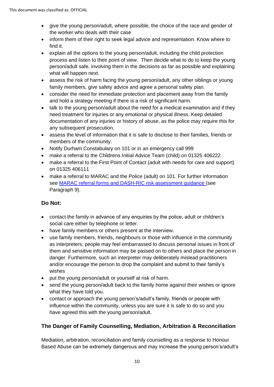- give the young person/adult, where possible, the choice of the race and gender of the worker who deals with their case
- inform them of their right to seek legal advice and representation. Know where to find it.
- explain all the options to the young person/adult, including the child protection process and listen to their point of view. Then decide what to do to keep the young person/adult safe, involving them in the decisions as far as possible and explaining what will happen next.
- assess the risk of harm facing the young person/adult, any other siblings or young family members, give safety advice and agree a personal safety plan.
- consider the need for immediate protection and placement away from the family and hold a strategy meeting if there is a risk of significant harm.
- talk to the young person/adult about the need for a medical examination and if they need treatment for injuries or any emotional or physical illness. Keep detailed documentation of any injuries or history of abuse, as the police may require this for any subsequent prosecution.
- assess the level of information that it is safe to disclose to their families, friends or members of the community.
- Notify Durham Constabulary on 101 or in an emergency call 999
- make a referral to the Childrens Initial Advice Team (child) on 01325 406222
- make a referral to the First Point of Contact (adult with needs for care and support) on 01325 406111
- make a referral to MARAC and the Police (adult) on 101. For further information see MARAC [referral forms and DASH-RIC risk assessment guidance](https://www.darlington-safeguarding-partnership.co.uk/professionals/multi-agency-practice-guidance-and-additional-information/) (see Paragraph 9).

## **Do Not:**

- contact the family in advance of any enquiries by the police, adult or children's social care either by telephone or letter.
- have family members or others present at the interview.
- use family members, friends, neighbours or those with influence in the community as interpreters; people may feel embarrassed to discuss personal issues in front of them and sensitive information may be passed on to others and place the person in danger. Furthermore, such an interpreter may deliberately mislead practitioners and/or encourage the person to drop the complaint and submit to their family's wishes
- put the young person/adult or yourself at risk of harm.
- send the young person/adult back to the family home against their wishes or ignore what they have told you.
- contact or approach the young person's/adult's family, friends or people with influence within the community, unless you are sure it is safe to do so and you have agreed this with the young person/adult.

## **The Danger of Family Counselling, Mediation, Arbitration & Reconciliation**

Mediation, arbitration, reconciliation and family counselling as a response to Honour Based Abuse can be extremely dangerous and may increase the young person's/adult's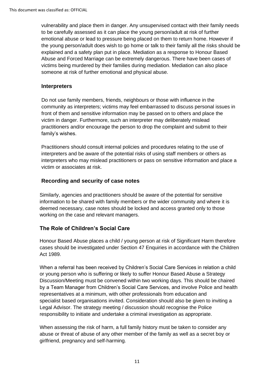vulnerability and place them in danger. Any unsupervised contact with their family needs to be carefully assessed as it can place the young person/adult at risk of further emotional abuse or lead to pressure being placed on them to return home. However if the young person/adult does wish to go home or talk to their family all the risks should be explained and a safety plan put in place. Mediation as a response to Honour Based Abuse and Forced Marriage can be extremely dangerous. There have been cases of victims being murdered by their families during mediation. Mediation can also place someone at risk of further emotional and physical abuse.

#### **Interpreters**

Do not use family members, friends, neighbours or those with influence in the community as interpreters; victims may feel embarrassed to discuss personal issues in front of them and sensitive information may be passed on to others and place the victim in danger. Furthermore, such an interpreter may deliberately mislead practitioners and/or encourage the person to drop the complaint and submit to their family's wishes.

Practitioners should consult internal policies and procedures relating to the use of interpreters and be aware of the potential risks of using staff members or others as interpreters who may mislead practitioners or pass on sensitive information and place a victim or associates at risk.

#### **Recording and security of case notes**

Similarly, agencies and practitioners should be aware of the potential for sensitive information to be shared with family members or the wider community and where it is deemed necessary, case notes should be locked and access granted only to those working on the case and relevant managers.

## **The Role of Children's Social Care**

Honour Based Abuse places a child / young person at risk of [Significant Harm](http://trixresources.proceduresonline.com/nat_key/keywords/significant_harm.html) therefore cases should be investigated under Section 47 Enquiries in accordance with the Children Act 1989.

When a referral has been received by Children's Social Care Services in relation a child or young person who is suffering or likely to suffer Honour Based Abuse a [Strategy](http://trixresources.proceduresonline.com/nat_key/keywords/strategy_discussion_meeting.html)  [Discussion/Meeting](http://trixresources.proceduresonline.com/nat_key/keywords/strategy_discussion_meeting.html) must be convened within two working days. This should be chaired by a Team Manager from Children's Social Care Services, and involve Police and health representatives at a minimum, with other professionals from education and specialist based organisations invited. Consideration should also be given to inviting a Legal Advisor. The strategy meeting / discussion should recognise the Police responsibility to initiate and undertake a criminal investigation as appropriate.

When assessing the risk of harm, a full family history must be taken to consider any abuse or threat of abuse of any other member of the family as well as a secret boy or girlfriend, pregnancy and self-harming.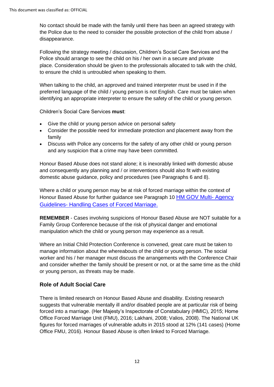No contact should be made with the family until there has been an agreed strategy with the Police due to the need to consider the possible protection of the child from abuse / disappearance.

Following the strategy meeting / discussion, Children's Social Care Services and the Police should arrange to see the child on his / her own in a secure and private place. Consideration should be given to the professionals allocated to talk with the child, to ensure the child is untroubled when speaking to them.

When talking to the child, an approved and trained interpreter must be used in if the preferred language of the child / young person is not English. Care must be taken when identifying an appropriate interpreter to ensure the safety of the child or young person.

Children's Social Care Services **must**:

- Give the child or young person advice on personal safety
- Consider the possible need for immediate protection and placement away from the family
- Discuss with Police any concerns for the safety of any other child or young person and any suspicion that a crime may have been committed.

Honour Based Abuse does not stand alone; it is inexorably linked with domestic abuse and consequently any planning and / or interventions should also fit with existing domestic abuse guidance, policy and procedures (see Paragraphs 6 and 8).

Where a child or young person may be at risk of forced marriage within the context of Honour Based Abuse for further guidance see Paragraph 10 [HM GOV Multi-](https://assets.publishing.service.gov.uk/government/uploads/system/uploads/attachment_data/file/322307/HMG_MULTI_AGENCY_PRACTICE_GUIDELINES_v1_180614_FINAL.pdf) Agency Guidelines- [Handling Cases of Forced Marriage.](https://assets.publishing.service.gov.uk/government/uploads/system/uploads/attachment_data/file/322307/HMG_MULTI_AGENCY_PRACTICE_GUIDELINES_v1_180614_FINAL.pdf) 

**REMEMBER** - Cases involving suspicions of Honour Based Abuse are NOT suitable for a Family Group Conference because of the risk of physical danger and emotional manipulation which the child or young person may experience as a result.

Where an [Initial Child Protection Conference](http://trixresources.proceduresonline.com/nat_key/keywords/init_chi_prot_conf.html) is convened, great care must be taken to manage information about the whereabouts of the child or young person. The social worker and his / her manager must discuss the arrangements with the Conference Chair and consider whether the family should be present or not, or at the same time as the child or young person, as threats may be made.

#### **Role of Adult Social Care**

There is limited research on Honour Based Abuse and disability. Existing research suggests that vulnerable mentally ill and/or disabled people are at particular risk of being forced into a marriage. (Her Majesty's Inspectorate of Constabulary (HMIC), 2015; Home Office Forced Marriage Unit (FMU), 2016; Lakhani, 2008; Valios, 2008). The National UK figures for forced marriages of vulnerable adults in 2015 stood at 12% (141 cases) (Home Office FMU, 2016). Honour Based Abuse is often linked to Forced Marriage.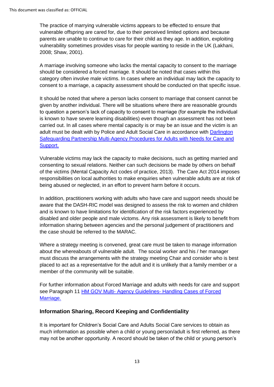The practice of marrying vulnerable victims appears to be effected to ensure that vulnerable offspring are cared for, due to their perceived limited options and because parents are unable to continue to care for their child as they age. In addition, exploiting vulnerability sometimes provides visas for people wanting to reside in the UK (Lakhani, 2008; Shaw, 2001).

A marriage involving someone who lacks the mental capacity to consent to the marriage should be considered a forced marriage. It should be noted that cases within this category often involve male victims. In cases where an individual may lack the capacity to consent to a marriage, a capacity assessment should be conducted on that specific issue.

It should be noted that where a person lacks consent to marriage that consent cannot be given by another individual. There will be situations where there are reasonable grounds to question a person's lack of capacity to consent to marriage (for example the individual is known to have severe learning disabilities) even though an assessment has not been carried out. In all cases where mental capacity is or may be an issue and the victim is an adult must be dealt with by Police and Adult Social Care in accordance with Darlington [Safeguarding Partnership Multi-Agency Procedures for Adults with Needs for Care and](https://www.darlington-safeguarding-partnership.co.uk/professionals/multi-agency-safeguarding-adult-procedures/)  [Support.](https://www.darlington-safeguarding-partnership.co.uk/professionals/multi-agency-safeguarding-adult-procedures/)

Vulnerable victims may lack the capacity to make decisions, such as getting married and consenting to sexual relations. Neither can such decisions be made by others on behalf of the victims (Mental Capacity Act codes of practice, 2013). The Care Act 2014 imposes responsibilities on local authorities to make enquiries when vulnerable adults are at risk of being abused or neglected, in an effort to prevent harm before it occurs.

In addition, practitioners working with adults who have care and support needs should be aware that the DASH-RIC model was designed to assess the risk to women and children and is known to have limitations for identification of the risk factors experienced by disabled and older people and male victoms. Any risk assessment is likely to benefit from information sharing between agencies and the personal judgement of practitioners and the case should be referred to the MARAC.

Where a strategy meeting is convened, great care must be taken to manage information about the whereabouts of vulnerable adult. The social worker and his / her manager must discuss the arrangements with the strategy meeting Chair and consider who is best placed to act as a representative for the adult and it is unlikely that a family member or a member of the community will be suitable.

For further information about Forced Marriage and adults with needs for care and support see Paragraph 11 HM GOV Multi- [Agency Guidelines-](https://assets.publishing.service.gov.uk/government/uploads/system/uploads/attachment_data/file/322307/HMG_MULTI_AGENCY_PRACTICE_GUIDELINES_v1_180614_FINAL.pdf) Handling Cases of Forced [Marriage.](https://assets.publishing.service.gov.uk/government/uploads/system/uploads/attachment_data/file/322307/HMG_MULTI_AGENCY_PRACTICE_GUIDELINES_v1_180614_FINAL.pdf) 

#### **Information Sharing, Record Keeping and Confidentiality**

It is important for Children's Social Care and Adults Social Care services to obtain as much information as possible when a child or young person/adult is first referred, as there may not be another opportunity. A record should be taken of the child or young person's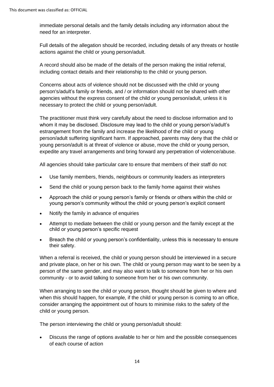immediate personal details and the family details including any information about the need for an interpreter.

Full details of the allegation should be recorded, including details of any threats or hostile actions against the child or young person/adult.

A record should also be made of the details of the person making the initial referral, including contact details and their relationship to the child or young person.

Concerns about acts of violence should not be discussed with the child or young person's/adult's family or friends, and / or information should not be shared with other agencies without the express consent of the child or young person/adult, unless it is necessary to protect the child or young person/adult.

The practitioner must think very carefully about the need to disclose information and to whom it may be disclosed. Disclosure may lead to the child or young person's/adult's estrangement from the family and increase the likelihood of the child or young person/adult suffering [significant](http://trixresources.proceduresonline.com/nat_key/keywords/significant_harm.html) harm. If approached, parents may deny that the child or young person/adult is at threat of violence or abuse, move the child or young person, expedite any travel arrangements and bring forward any perpetration of violence/abuse.

All agencies should take particular care to ensure that members of their staff do not:

- Use family members, friends, neighbours or community leaders as interpreters
- Send the child or young person back to the family home against their wishes
- Approach the child or young person's family or friends or others within the child or young person's community without the child or young person's explicit consent
- Notify the family in advance of enquiries
- Attempt to mediate between the child or young person and the family except at the child or young person's specific request
- Breach the child or young person's confidentiality, unless this is necessary to ensure their safety.

When a referral is received, the child or young person should be interviewed in a secure and private place, on her or his own. The child or young person may want to be seen by a person of the same gender, and may also want to talk to someone from her or his own community - or to avoid talking to someone from her or his own community.

When arranging to see the child or young person, thought should be given to where and when this should happen, for example, if the child or young person is coming to an office, consider arranging the appointment out of hours to minimise risks to the safety of the child or young person.

The person interviewing the child or young person/adult should:

• Discuss the range of options available to her or him and the possible consequences of each course of action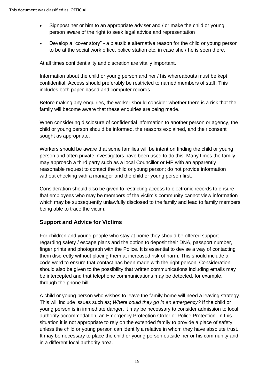- Signpost her or him to an appropriate adviser and / or make the child or young person aware of the right to seek legal advice and representation
- Develop a "cover story" a plausible alternative reason for the child or young person to be at the social work office, police station etc, in case she / he is seen there.

At all times confidentiality and discretion are vitally important.

Information about the child or young person and her / his whereabouts must be kept confidential. Access should preferably be restricted to named members of staff. This includes both paper-based and computer records.

Before making any enquiries, the worker should consider whether there is a risk that the family will become aware that these enquiries are being made.

When considering disclosure of confidential information to another person or agency, the child or young person should be informed, the reasons explained, and their consent sought as appropriate.

Workers should be aware that some families will be intent on finding the child or young person and often private investigators have been used to do this. Many times the family may approach a third party such as a local Councillor or MP with an apparently reasonable request to contact the child or young person; do not provide information without checking with a manager and the child or young person first.

Consideration should also be given to restricting access to electronic records to ensure that employees who may be members of the victim's community cannot view information which may be subsequently unlawfully disclosed to the family and lead to family members being able to trace the victim.

## **Support and Advice for Victims**

For children and young people who stay at home they should be offered support regarding safety / escape plans and the option to deposit their DNA, passport number, finger prints and photograph with the Police. It is essential to devise a way of contacting them discreetly without placing them at increased risk of harm. This should include a code word to ensure that contact has been made with the right person. Consideration should also be given to the possibility that written communications including emails may be intercepted and that telephone communications may be detected, for example, through the phone bill.

A child or young person who wishes to leave the family home will need a leaving strategy. This will include issues such as; *Where could they go in an emergency?* If the child or young person is in immediate danger, it may be necessary to consider admission to local authority accommodation, an [Emergency Protection Order](http://trixresources.proceduresonline.com/nat_key/keywords/emerge_prot_order.html) or Police Protection. In this situation it is not appropriate to rely on the extended family to provide a place of safety unless the child or young person can identify a relative in whom they have absolute trust. It may be necessary to place the child or young person outside her or his community and in a different local authority area.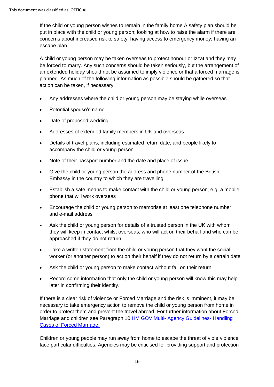If the child or young person wishes to remain in the family home A safety plan should be put in place with the child or young person; looking at how to raise the alarm if there are concerns about increased risk to safety; having access to emergency money; having an escape plan.

A child or young person may be taken overseas to protect honour or Izzat and they may be forced to marry. Any such concerns should be taken seriously, but the arrangement of an extended holiday should not be assumed to imply violence or that a forced marriage is planned. As much of the following information as possible should be gathered so that action can be taken, if necessary:

- Any addresses where the child or young person may be staying while overseas
- Potential spouse's name
- Date of proposed wedding
- Addresses of extended family members in UK and overseas
- Details of travel plans, including estimated return date, and people likely to accompany the child or young person
- Note of their passport number and the date and place of issue
- Give the child or young person the address and phone number of the British Embassy in the country to which they are travelling
- Establish a safe means to make contact with the child or young person, e.g. a mobile phone that will work overseas
- Encourage the child or young person to memorise at least one telephone number and e-mail address
- Ask the child or young person for details of a trusted person in the UK with whom they will keep in contact whilst overseas, who will act on their behalf and who can be approached if they do not return
- Take a written statement from the child or young person that they want the social worker (or another person) to act on their behalf if they do not return by a certain date
- Ask the child or young person to make contact without fail on their return
- Record some information that only the child or young person will know this may help later in confirming their identity.

If there is a clear risk of violence or Forced Marriage and the risk is imminent, it may be necessary to take emergency action to remove the child or young person from home in order to protect them and prevent the travel abroad. For further information about Forced Marriage and children see Paragraph 10 HM GOV Multi- [Agency Guidelines-](https://assets.publishing.service.gov.uk/government/uploads/system/uploads/attachment_data/file/322307/HMG_MULTI_AGENCY_PRACTICE_GUIDELINES_v1_180614_FINAL.pdf) Handling [Cases of Forced Marriage.](https://assets.publishing.service.gov.uk/government/uploads/system/uploads/attachment_data/file/322307/HMG_MULTI_AGENCY_PRACTICE_GUIDELINES_v1_180614_FINAL.pdf) 

Children or young people may run away from home to escape the threat of viole violence face particular difficulties. Agencies may be criticised for providing support and protection